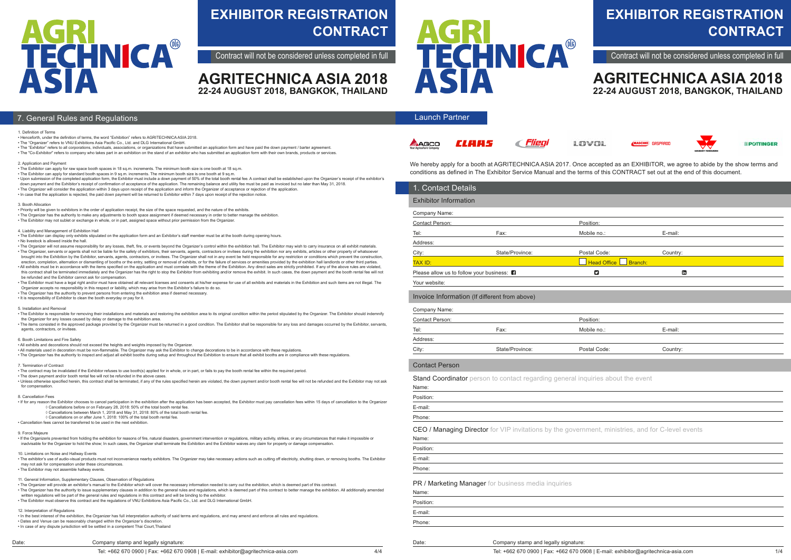# **EXHIBITOR REGISTRATION CONTRACT**

Contract will not be considered unless completed in full

We hereby apply for a booth at AGRITECHNICA ASIA 2017. Once accepted as an EXHIBITOR, we agree to abide by the show terms and conditions as defined in The Exhibitor Service Manual and the terms of this CONTRACT set out at the end of this document.

| <b>Exhibitor Information</b>             |                                                                                                   |                           |          |  |
|------------------------------------------|---------------------------------------------------------------------------------------------------|---------------------------|----------|--|
|                                          |                                                                                                   |                           |          |  |
| Company Name:                            |                                                                                                   |                           |          |  |
| Contact Person:                          |                                                                                                   | Position:                 |          |  |
| Tel:                                     | Fax:                                                                                              | Mobile no.:               | E-mail:  |  |
| Address:                                 |                                                                                                   |                           |          |  |
| City:                                    | State/Province:                                                                                   | Postal Code:              | Country: |  |
| TAX ID:                                  |                                                                                                   | <b>Head Office</b>        | Branch:  |  |
| Please allow us to follow your business: |                                                                                                   | $\boldsymbol{\mathsf{z}}$ | Ġ        |  |
| Your website:                            |                                                                                                   |                           |          |  |
|                                          | Invoice Information (If different from above)                                                     |                           |          |  |
| Company Name:                            |                                                                                                   |                           |          |  |
| Contact Person:                          |                                                                                                   | Position:                 |          |  |
| Tel:                                     | Fax:                                                                                              | Mobile no.:               | E-mail:  |  |
| Address:                                 |                                                                                                   |                           |          |  |
| City:                                    | State/Province:                                                                                   | Postal Code:              | Country: |  |
| <b>Contact Person</b>                    |                                                                                                   |                           |          |  |
| Name:                                    | Stand Coordinator person to contact regarding general inquiries about the event                   |                           |          |  |
| Position:                                |                                                                                                   |                           |          |  |
| E-mail:                                  |                                                                                                   |                           |          |  |
| Phone:                                   |                                                                                                   |                           |          |  |
|                                          | CEO / Managing Director for VIP invitations by the government, ministries, and for C-level events |                           |          |  |
| Name:                                    |                                                                                                   |                           |          |  |
| Position:                                |                                                                                                   |                           |          |  |
| E-mail:                                  |                                                                                                   |                           |          |  |
| Phone:                                   |                                                                                                   |                           |          |  |
|                                          | PR / Marketing Manager for business media inquiries                                               |                           |          |  |
| Name:                                    |                                                                                                   |                           |          |  |
| Position:                                |                                                                                                   |                           |          |  |
| E-mail:                                  |                                                                                                   |                           |          |  |
| Phone:                                   |                                                                                                   |                           |          |  |
|                                          |                                                                                                   |                           |          |  |

Company stamp and legally signature:

### **AGRITECHNICA ASIA 2018 22-24 AUGUST 2018, BANGKOK, THAILAND**



*®POTTINGER* 

#### Launch Partner







*c Flieal* 



## **EXHIBITOR REGISTRATION CONTRACT**

Contract will not be considered unless completed in full

Date:

 $\overline{A}$ 

|  |  |  |  | Company stamp and legally signature: |  |
|--|--|--|--|--------------------------------------|--|
|--|--|--|--|--------------------------------------|--|

### **AGRITECHNICA ASIA 2018 22-24 AUGUST 2018, BANGKOK, THAILAND**



#### **7. General Rules and Regulations**

#### 1. Definition of Terms

- Henceforth, under the definition of terms, the word "Exhibition" refers to AGRITECHNICA ASIA 2018.
- The "Organizer" refers to VNU Exhibitions Asia Pacific Co., Ltd. and DLG International GmbH.

• The "Exhibitor" refers to all corporations, individuals, associations, or organizations that have submitted an application form and have paid the down payment / barter agreement. • The "Co-Exhibitor" refers to company who takes part in an exhibition on the stand of an exhibitor who has submitted an application form with their own brands, products or services.

. The Organizer will not assume responsibility for any losses, theft, fire, or events beyond the Organizer's control within the exhibition hall. The Exhibitor may wish to carry insurance on all exhibit materials. • The Organizer, servants or agents shall not be liable for the safety of exhibitors, their servants, agents, contractors or invitees during the exhibition nor any exhibits, articles or other property of whatsoever

2. Application and Payment

- The Exhibitor can apply for raw space booth spaces in 18 sq.m. increments. The minimum booth size is one booth at 18 sq.m.
- The Exhibitor can apply for standard booth spaces in 9 sq.m. increments. The minimum booth size is one booth at 9 sq.m.
- Upon submission of the completed application form, the Exhibitor must include a down payment of 50% of the total booth rental fee. A contract shall be established upon the Organizer's receipt of the exhibitor's
- down payment and the Exhibitor's receipt of confirmation of acceptance of the application. The remaining balance and utility fee must be paid as invoiced but no later than May 31, 2018.
- The Organizer will consider the application within 3 days upon receipt of the application and inform the Organizer of acceptance or rejection of the application. • In case that the application is rejected, the paid down payment will be returned to Exhibitor within 7 days upon receipt of the rejection notice.

#### 3. Booth Allocation

- The contract may be invalidated if the Exhibitor refuses to use booth(s) applied for in whole, or in part, or fails to pay the booth rental fee within the required period.
- The down payment and/or booth rental fee will not be refunded in the above cases.
- Unless otherwise specified herein, this contract shall be terminated, if any of the rules specified herein are violated, the down payment and/or booth rental fee will not be refunded and the Exhibitor may not ask for compensation
- Priority will be given to exhibitors in the order of application receipt, the size of the space requested, and the nature of the exhibits.
- The Organizer has the authority to make any adjustments to booth space assignment if deemed necessary in order to better manage the exhibition.
- The Exhibitor may not sublet or exchange in whole, or in part, assigned space without prior permission from the Organizer.

#### 4. Liability and Management of Exhibition Hall

• The Exhibitor can display only exhibits stipulated on the application form and an Exhibitor's staff member must be at the booth during opening hours.

#### • No livestock is allowed inside the hall.

• If the Organizeris prevented from holding the exhibition for reasons of fire, natural disasters, government intervention or regulations, military activity, strikes, or any circumstances that make it impossible or inadvisable for the Organizer to hold the show; In such cases, the Organizer shall terminate the Exhibition and the Exhibitor waives any claim for property or damage compensation

- brought into the Exhibition by the Exhibitor, servants, agents, contractors, or invitees. The Organizer shall not in any event be held responsible for any restriction or conditions which prevent the construction, erection, completion, alternation or dismantling of booths or the entry, settling or removal of exhibits, or for the failure of services or amenities provided by the exhibition hall landlords or other third parties. • All exhibits must be in accordance with the items specified on the application and must correlate with the theme of the Exhibition. Any direct sales are strictly prohibited. If any of the above rules are violated, this contract shall be terminated immediately and the Organizer has the right to stop the Exhibitor from exhibiting and/or remove the exhibit. In such cases, the down payment and the booth rental fee will not here will not
- be refunded and the Exhibitor cannot ask for compensation. • The Exhibitor must have a legal right and/or must have obtained all relevant licenses and consents at his/her expense for use of all exhibits and materials in the Exhibition and such items are not illegal. The Organizer accepts no responsibility in this respect or liability, which may arise from the Exhibitor's failure to do so.
- The Organizer has the authority to prevent persons from entering the exhibition area if deemed necessary.

• It is responsibility of Exhibitor to clean the booth everyday or pay for it.

#### 5. Installation and Removal

- The Exhibitor is responsible for removing their installations and materials and restoring the exhibition area to its original condition within the period stipulated by the Organizer. The Exhibitor should indemnify the Organizer for any losses caused by delay or damage to the exhibition area.
- The items consisted in the approved package provided by the Organizer must be returned in a good condition. The Exhibitor shall be responsible for any loss and damages occurred by the Exhibitor, servants, agents, contractors, or invitees.

#### 6. Booth Limitations and Fire Safety

- All exhibits and decorations should not exceed the heights and weights imposed by the Organizer.
- All materials used in decoration must be non-flammable. The Organizer may ask the Exhibitor to change decorations to be in accordance with these regulations.
- The Organizer has the authority to inspect and adjust all exhibit booths during setup and throughout the Exhibition to ensure that all exhibit booths are in compliance with these regulations.

#### 7. Termination of Contract

#### 8. Cancellation Fees

- If for any reason the Exhibitor chooses to cancel participation in the exhibition after the application has been accepted, the Exhibitor must pay cancellation fees within 15 days of cancellation to the Organizer ◊ Cancellations before or on February 28, 2018: 50% of the total booth rental fee.
	- ◊ Cancellations between March 1, 2018 and May 31, 2018: 80% of the total booth rental fee.
- ◊ Cancellations on or after June 1, 2018: 100% of the total booth rental fee.
- Cancellation fees cannot be transferred to be used in the next exhibition.

#### 9. Force Majeure

#### 10. Limitations on Noise and Hallway Events

• The exhibitor's use of audio-visual products must not inconvenience nearby exhibitors. The Organizer may take necessary actions such as cutting off electricity, shutting down, or removing booths. The Exhibitor may not ask for compensation under these circumstances.

• The Exhibitor may not assemble hallway events.

11. General Information, Supplementary Clauses, Observation of Regulations

- The Organizer will provide an exhibitor's manual to the Exhibitor which will cover the necessary information needed to carry out the exhibition, which is deemed part of this contract.
- The Organizer has the authority to issue supplementary clauses in addition to the general rules and regulations, which is deemed part of this contract to better manage the exhibition. All additionally amended written regulations will be part of the general rules and regulations in this contract and will be binding to the exhibitor.
- The Exhibitor must observe this contract and the regulations of VNU Exhibitions Asia Pacific Co., Ltd. and DLG International GmbH.

#### 12. Interpretation of Regulations

• In the best interest of the exhibition, the Organizer has full interpretation authority of said terms and regulations, and may amend and enforce all rules and regulations.

• Dates and Venue can be reasonably changed within the Organizer's discretion. • In case of any dispute jurisdiction will be settled in a competent Thai Court,Thailand